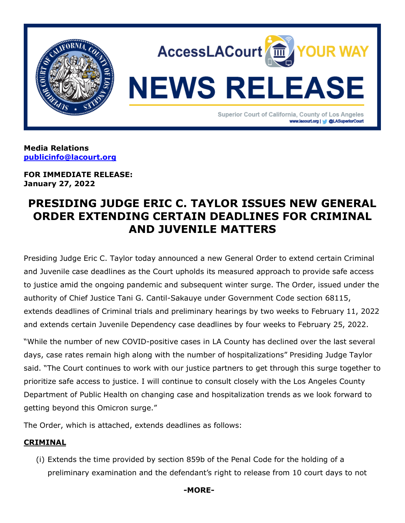

**Media Relations [publicinfo@lacourt.org](mailto:publicinfo@lacourt.org)**

**FOR IMMEDIATE RELEASE: January 27, 2022**

# **PRESIDING JUDGE ERIC C. TAYLOR ISSUES NEW GENERAL ORDER EXTENDING CERTAIN DEADLINES FOR CRIMINAL AND JUVENILE MATTERS**

Presiding Judge Eric C. Taylor today announced a new General Order to extend certain Criminal and Juvenile case deadlines as the Court upholds its measured approach to provide safe access to justice amid the ongoing pandemic and subsequent winter surge. The Order, issued under the authority of Chief Justice Tani G. Cantil-Sakauye under Government Code section 68115, extends deadlines of Criminal trials and preliminary hearings by two weeks to February 11, 2022 and extends certain Juvenile Dependency case deadlines by four weeks to February 25, 2022.

"While the number of new COVID-positive cases in LA County has declined over the last several days, case rates remain high along with the number of hospitalizations" Presiding Judge Taylor said. "The Court continues to work with our justice partners to get through this surge together to prioritize safe access to justice. I will continue to consult closely with the Los Angeles County Department of Public Health on changing case and hospitalization trends as we look forward to getting beyond this Omicron surge."

The Order, which is attached, extends deadlines as follows:

## **CRIMINAL**

(i) Extends the time provided by section 859b of the Penal Code for the holding of a preliminary examination and the defendant's right to release from 10 court days to not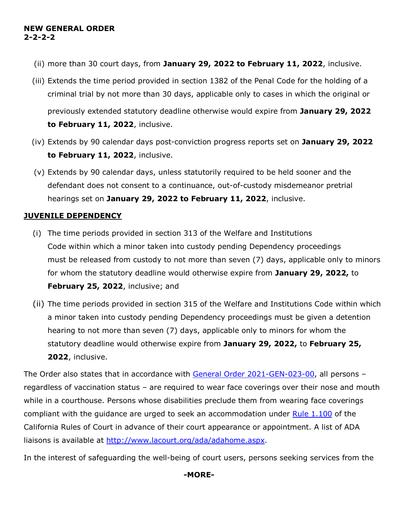### **NEW GENERAL ORDER 2-2-2-2**

- (ii) more than 30 court days, from **January 29, 2022 to February 11, 2022**, inclusive.
- (iii) Extends the time period provided in section 1382 of the Penal Code for the holding of a criminal trial by not more than 30 days, applicable only to cases in which the original or previously extended statutory deadline otherwise would expire from **January 29, 2022 to February 11, 2022**, inclusive.
- (iv) Extends by 90 calendar days post-conviction progress reports set on **January 29, 2022 to February 11, 2022**, inclusive.
- (v) Extends by 90 calendar days, unless statutorily required to be held sooner and the defendant does not consent to a continuance, out-of-custody misdemeanor pretrial hearings set on **January 29, 2022 to February 11, 2022**, inclusive.

## **JUVENILE DEPENDENCY**

- (i) The time periods provided in section 313 of the Welfare and Institutions Code within which a minor taken into custody pending Dependency proceedings must be released from custody to not more than seven (7) days, applicable only to minors for whom the statutory deadline would otherwise expire from **January 29, 2022,** to **February 25, 2022**, inclusive; and
- (ii) The time periods provided in section 315 of the Welfare and Institutions Code within which a minor taken into custody pending Dependency proceedings must be given a detention hearing to not more than seven (7) days, applicable only to minors for whom the statutory deadline would otherwise expire from **January 29, 2022,** to **February 25, 2022**, inclusive.

The Order also states that in accordance with [General Order 2021-GEN-023-00,](https://www.lacourt.org/newsmedia/uploads/1420216241552562021-GEN-023-00AdministrativeOrderofPJreFacialCoveringsandSocialDistancing062421.pdf) all persons – regardless of vaccination status – are required to wear face coverings over their nose and mouth while in a courthouse. Persons whose disabilities preclude them from wearing face coverings compliant with the guidance are urged to seek an accommodation under [Rule 1.100](https://www.courts.ca.gov/cms/rules/index.cfm?title=one&linkid=rule1_100) of the California Rules of Court in advance of their court appearance or appointment. A list of ADA liaisons is available at [http://www.lacourt.org/ada/adahome.aspx.](http://www.lacourt.org/ada/adahome.aspx)

In the interest of safeguarding the well-being of court users, persons seeking services from the

## **-MORE-**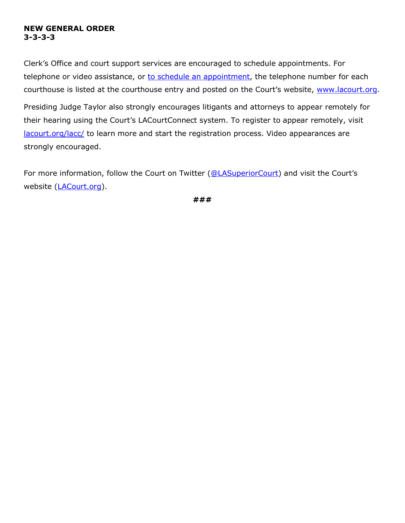#### **NEW GENERAL ORDER 3-3-3-3**

Clerk's Office and court support services are encouraged to schedule appointments. For telephone or video assistance, or [to schedule an appointment,](https://www.lacourt.org/newsmedia/ui/pdf/CALLCENTERPHONENUMBERSAccessLACourtUpdate_3.pdf) the telephone number for each courthouse is listed at the courthouse entry and posted on the Court's website, www.lacourt.org.

Presiding Judge Taylor also strongly encourages litigants and attorneys to appear remotely for their hearing using the Court's LACourtConnect system. To register to appear remotely, visit [lacourt.org/lacc/](https://my.lacourt.org/laccwelcome) to learn more and start the registration process. Video appearances are strongly encouraged.

For more information, follow the Court on Twitter [\(@LASuperiorCourt\)](https://twitter.com/LASuperiorCourt) and visit the Court's website [\(LACourt.org\)](https://www.lacourt.org/).

**###**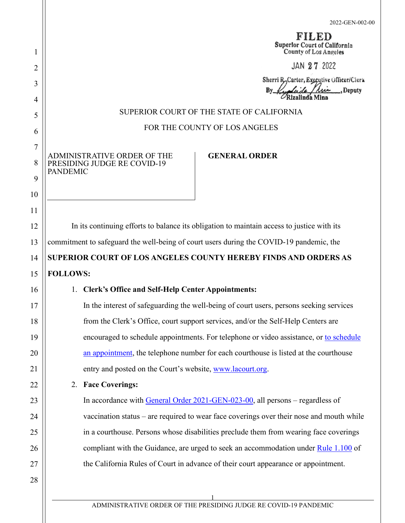|                                                                                            |                                                                                          | Superlor Court of California<br>County of Los Angeles<br>JAN 27 2022               |  |
|--------------------------------------------------------------------------------------------|------------------------------------------------------------------------------------------|------------------------------------------------------------------------------------|--|
|                                                                                            |                                                                                          | Sherri R, Carter, Executive Officer/Clerk<br>Lee Deputy<br>Bv.<br>Rizalinda Mina   |  |
| SUPERIOR COURT OF THE STATE OF CALIFORNIA                                                  |                                                                                          |                                                                                    |  |
| FOR THE COUNTY OF LOS ANGELES                                                              |                                                                                          |                                                                                    |  |
|                                                                                            |                                                                                          |                                                                                    |  |
| <b>PANDEMIC</b>                                                                            | ADMINISTRATIVE ORDER OF THE<br>PRESIDING JUDGE RE COVID-19                               | <b>GENERAL ORDER</b>                                                               |  |
|                                                                                            |                                                                                          |                                                                                    |  |
|                                                                                            |                                                                                          |                                                                                    |  |
| In its continuing efforts to balance its obligation to maintain access to justice with its |                                                                                          |                                                                                    |  |
| commitment to safeguard the well-being of court users during the COVID-19 pandemic, the    |                                                                                          |                                                                                    |  |
| SUPERIOR COURT OF LOS ANGELES COUNTY HEREBY FINDS AND ORDERS AS                            |                                                                                          |                                                                                    |  |
| <b>FOLLOWS:</b>                                                                            |                                                                                          |                                                                                    |  |
|                                                                                            | 1. Clerk's Office and Self-Help Center Appointments:                                     |                                                                                    |  |
|                                                                                            | In the interest of safeguarding the well-being of court users, persons seeking services  |                                                                                    |  |
|                                                                                            | from the Clerk's Office, court support services, and/or the Self-Help Centers are        |                                                                                    |  |
|                                                                                            | encouraged to schedule appointments. For telephone or video assistance, or to schedule   |                                                                                    |  |
| an appointment, the telephone number for each courthouse is listed at the courthouse       |                                                                                          |                                                                                    |  |
| entry and posted on the Court's website, www.lacourt.org.                                  |                                                                                          |                                                                                    |  |
|                                                                                            | 2. Face Coverings:                                                                       |                                                                                    |  |
|                                                                                            | In accordance with General Order 2021-GEN-023-00, all persons – regardless of            |                                                                                    |  |
|                                                                                            | vaccination status – are required to wear face coverings over their nose and mouth while |                                                                                    |  |
|                                                                                            | in a courthouse. Persons whose disabilities preclude them from wearing face coverings    |                                                                                    |  |
|                                                                                            | compliant with the Guidance, are urged to seek an accommodation under Rule 1.100 of      |                                                                                    |  |
|                                                                                            |                                                                                          | the California Rules of Court in advance of their court appearance or appointment. |  |
|                                                                                            |                                                                                          |                                                                                    |  |

1

2

3

4

5

6

7

8

9

10

11

12

13

14

15

16

17

18

19

20

21

22

23

24

25

26

27

28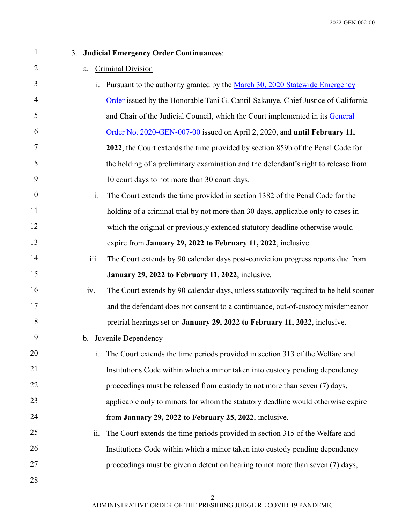## 3. **Judicial Emergency Order Continuances**:

#### a. Criminal Division

- i. Pursuant to the authority granted by the March 30, 2020 Statewide Emergency [Order](http://www.lacourt.org/newsmedia/uploads/142020431048StatewideOrderbytheChiefJustice-ChairoftheJudicialCouncil03-30-2020.pdf) issued by the Honorable Tani G. Cantil-Sakauye, Chief Justice of California and Chair of the Judicial Council, which the Court implemented in its General [Order No. 2020-GEN-007-00](http://www.lacourt.org/newsmedia/uploads/142020431420492020-GEN-007-00AdministrativeOrderofPJreCOVID-19040220(006).pdf) issued on April 2, 2020, and **until February 11, 2022**, the Court extends the time provided by section 859b of the Penal Code for the holding of a preliminary examination and the defendant's right to release from 10 court days to not more than 30 court days.
- ii. The Court extends the time provided in section 1382 of the Penal Code for the holding of a criminal trial by not more than 30 days, applicable only to cases in which the original or previously extended statutory deadline otherwise would expire from **January 29, 2022 to February 11, 2022**, inclusive.
- iii. The Court extends by 90 calendar days post-conviction progress reports due from **January 29, 2022 to February 11, 2022**, inclusive.
- iv. The Court extends by 90 calendar days, unless statutorily required to be held sooner and the defendant does not consent to a continuance, out-of-custody misdemeanor pretrial hearings set on **January 29, 2022 to February 11, 2022**, inclusive.
- b. Juvenile Dependency
	- i. The Court extends the time periods provided in section 313 of the Welfare and Institutions Code within which a minor taken into custody pending dependency proceedings must be released from custody to not more than seven (7) days, applicable only to minors for whom the statutory deadline would otherwise expire from **January 29, 2022 to February 25, 2022**, inclusive.
- ii. The Court extends the time periods provided in section 315 of the Welfare and Institutions Code within which a minor taken into custody pending dependency proceedings must be given a detention hearing to not more than seven (7) days,